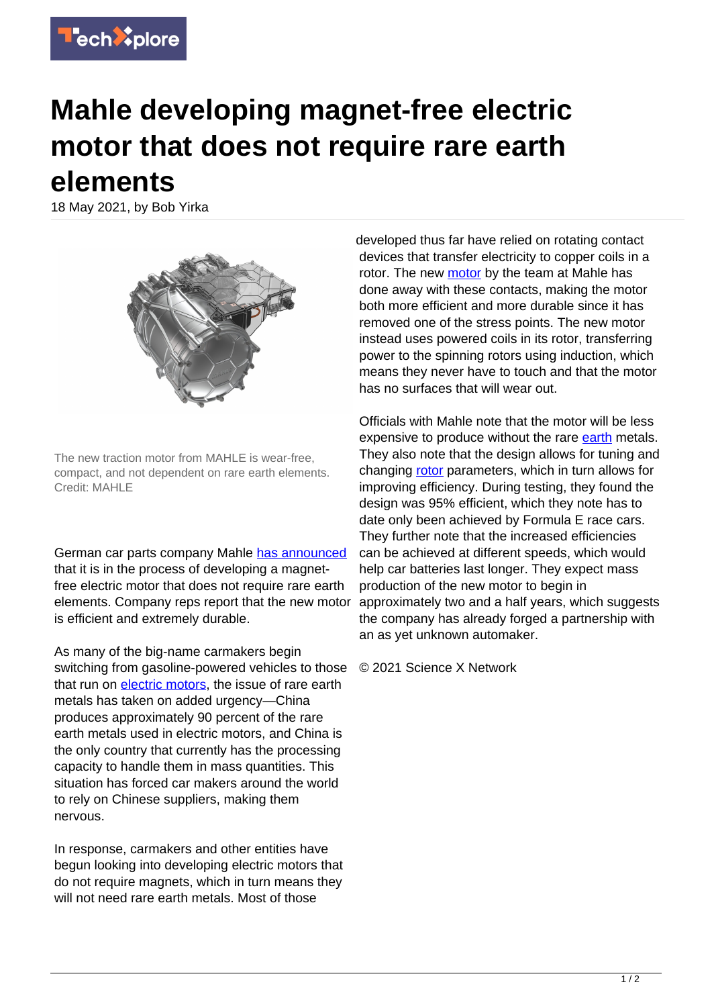

## **Mahle developing magnet-free electric motor that does not require rare earth elements**

18 May 2021, by Bob Yirka



The new traction motor from MAHLE is wear-free, compact, and not dependent on rare earth elements. Credit: MAHLE

German car parts company Mahle [has announced](https://www.mahle.com/en/news-and-press/press-releases/mahle-develops-highly-efficient-magnet-free-electric-motor—82368) that it is in the process of developing a magnetfree electric motor that does not require rare earth elements. Company reps report that the new motor is efficient and extremely durable.

As many of the big-name carmakers begin switching from gasoline-powered vehicles to those that run on [electric motors,](https://techxplore.com/tags/electric+motors/) the issue of rare earth metals has taken on added urgency—China produces approximately 90 percent of the rare earth metals used in electric motors, and China is the only country that currently has the processing capacity to handle them in mass quantities. This situation has forced car makers around the world to rely on Chinese suppliers, making them nervous.

In response, carmakers and other entities have begun looking into developing electric motors that do not require magnets, which in turn means they will not need rare earth metals. Most of those

developed thus far have relied on rotating contact devices that transfer electricity to copper coils in a rotor. The new [motor](https://techxplore.com/tags/motor/) by the team at Mahle has done away with these contacts, making the motor both more efficient and more durable since it has removed one of the stress points. The new motor instead uses powered coils in its rotor, transferring power to the spinning rotors using induction, which means they never have to touch and that the motor has no surfaces that will wear out.

Officials with Mahle note that the motor will be less expensive to produce without the rare [earth](https://techxplore.com/tags/earth/) metals. They also note that the design allows for tuning and changing [rotor](https://techxplore.com/tags/rotor/) parameters, which in turn allows for improving efficiency. During testing, they found the design was 95% efficient, which they note has to date only been achieved by Formula E race cars. They further note that the increased efficiencies can be achieved at different speeds, which would help car batteries last longer. They expect mass production of the new motor to begin in approximately two and a half years, which suggests the company has already forged a partnership with an as yet unknown automaker.

© 2021 Science X Network